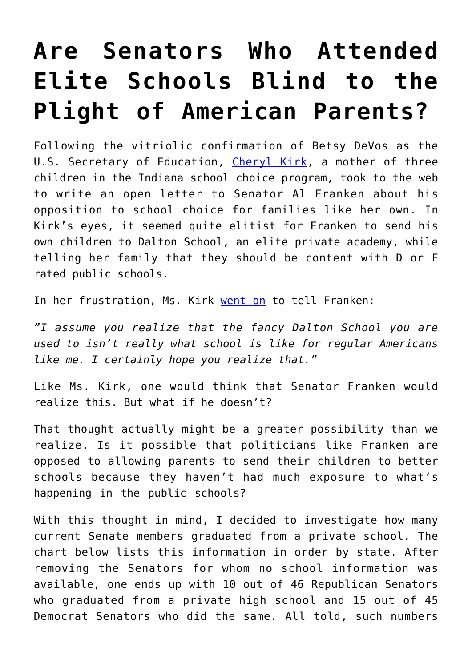## **[Are Senators Who Attended](https://intellectualtakeout.org/2017/02/are-senators-who-attended-elite-schools-blind-to-the-plight-of-american-parents/) [Elite Schools Blind to the](https://intellectualtakeout.org/2017/02/are-senators-who-attended-elite-schools-blind-to-the-plight-of-american-parents/) [Plight of American Parents?](https://intellectualtakeout.org/2017/02/are-senators-who-attended-elite-schools-blind-to-the-plight-of-american-parents/)**

Following the vitriolic confirmation of Betsy DeVos as the U.S. Secretary of Education, [Cheryl Kirk,](https://www.intellectualtakeout.org/blog/mother-3-rips-franken-elitist-comments-education) a mother of three children in the Indiana school choice program, took to the web to write an open letter to Senator Al Franken about his opposition to school choice for families like her own. In Kirk's eyes, it seemed quite elitist for Franken to send his own children to Dalton School, an elite private academy, while telling her family that they should be content with D or F rated public schools.

In her frustration, Ms. Kirk [went on](http://www.indy.education/?author=583c69a96a49631ee35896df) to tell Franken:

*"I assume you realize that the fancy Dalton School you are used to isn't really what school is like for regular Americans like me. I certainly hope you realize that."*

Like Ms. Kirk, one would think that Senator Franken would realize this. But what if he doesn't?

That thought actually might be a greater possibility than we realize. Is it possible that politicians like Franken are opposed to allowing parents to send their children to better schools because they haven't had much exposure to what's happening in the public schools?

With this thought in mind, I decided to investigate how many current Senate members graduated from a private school. The chart below lists this information in order by state. After removing the Senators for whom no school information was available, one ends up with 10 out of 46 Republican Senators who graduated from a private high school and 15 out of 45 Democrat Senators who did the same. All told, such numbers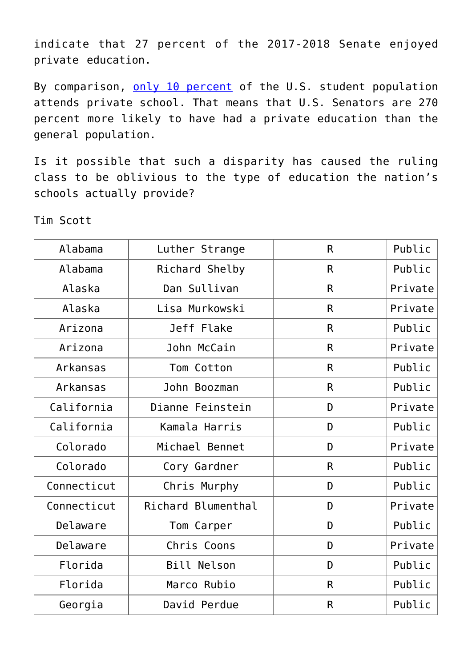indicate that 27 percent of the 2017-2018 Senate enjoyed private education.

By comparison, [only 10 percent](http://www.capenet.org/facts.html) of the U.S. student population attends private school. That means that U.S. Senators are 270 percent more likely to have had a private education than the general population.

Is it possible that such a disparity has caused the ruling class to be oblivious to the type of education the nation's schools actually provide?

Tim Scott

| Alabama     | Luther Strange     | $\mathsf{R}$ | Public  |
|-------------|--------------------|--------------|---------|
| Alabama     | Richard Shelby     | $\mathsf{R}$ | Public  |
| Alaska      | Dan Sullivan       | $\mathsf{R}$ | Private |
| Alaska      | Lisa Murkowski     | $\mathsf{R}$ | Private |
| Arizona     | Jeff Flake         | $\mathsf{R}$ | Public  |
| Arizona     | John McCain        | $\mathsf{R}$ | Private |
| Arkansas    | Tom Cotton         | R            | Public  |
| Arkansas    | John Boozman       | $\mathsf{R}$ | Public  |
| California  | Dianne Feinstein   | D            | Private |
| California  | Kamala Harris      | D            | Public  |
| Colorado    | Michael Bennet     | D            | Private |
| Colorado    | Cory Gardner       | R            | Public  |
| Connecticut | Chris Murphy       | D            | Public  |
| Connecticut | Richard Blumenthal | D            | Private |
| Delaware    | Tom Carper         | D            | Public  |
| Delaware    | Chris Coons        | D            | Private |
| Florida     | <b>Bill Nelson</b> | D            | Public  |
| Florida     | Marco Rubio        | $\mathsf{R}$ | Public  |
| Georgia     | David Perdue       | $\mathsf{R}$ | Public  |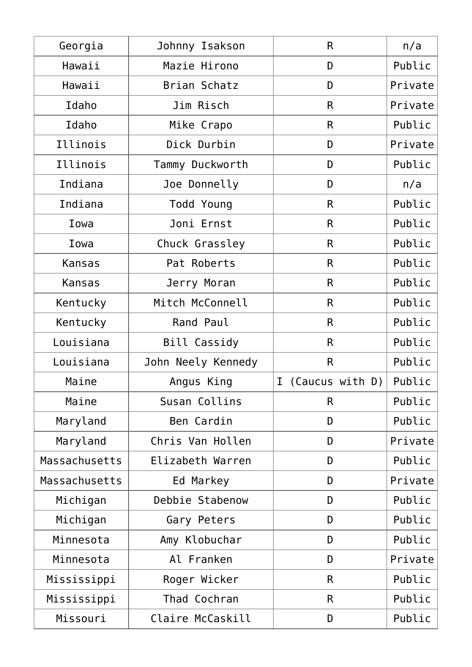| Georgia       | Johnny Isakson     | R                              | n/a     |
|---------------|--------------------|--------------------------------|---------|
| Hawaii        | Mazie Hirono       | D                              | Public  |
| Hawaii        | Brian Schatz       | D                              | Private |
| Idaho         | Jim Risch          | R                              | Private |
| Idaho         | Mike Crapo         | R                              | Public  |
| Illinois      | Dick Durbin        | D                              | Private |
| Illinois      | Tammy Duckworth    | D                              | Public  |
| Indiana       | Joe Donnelly       | D                              | n/a     |
| Indiana       | Todd Young         | R                              | Public  |
| Iowa          | Joni Ernst         | R                              | Public  |
| Iowa          | Chuck Grassley     | $\mathsf{R}$                   | Public  |
| <b>Kansas</b> | Pat Roberts        | $\mathsf{R}$                   | Public  |
| <b>Kansas</b> | Jerry Moran        | $\mathsf{R}$                   | Public  |
| Kentucky      | Mitch McConnell    | R                              | Public  |
| Kentucky      | Rand Paul          | R                              | Public  |
| Louisiana     | Bill Cassidy       | R                              | Public  |
| Louisiana     | John Neely Kennedy | R                              | Public  |
| Maine         | Angus King         | $\mathbf I$<br>(Caucus with D) | Public  |
| Maine         | Susan Collins      | R                              | Public  |
| Maryland      | Ben Cardin         | D                              | Public  |
| Maryland      | Chris Van Hollen   | D                              | Private |
| Massachusetts | Elizabeth Warren   | D                              | Public  |
| Massachusetts | Ed Markey          | D                              | Private |
| Michigan      | Debbie Stabenow    | D                              | Public  |
| Michigan      | Gary Peters        | D                              | Public  |
| Minnesota     | Amy Klobuchar      | D                              | Public  |
| Minnesota     | Al Franken         | D                              | Private |
| Mississippi   | Roger Wicker       | R                              | Public  |
| Mississippi   | Thad Cochran       | R                              | Public  |
| Missouri      | Claire McCaskill   | D                              | Public  |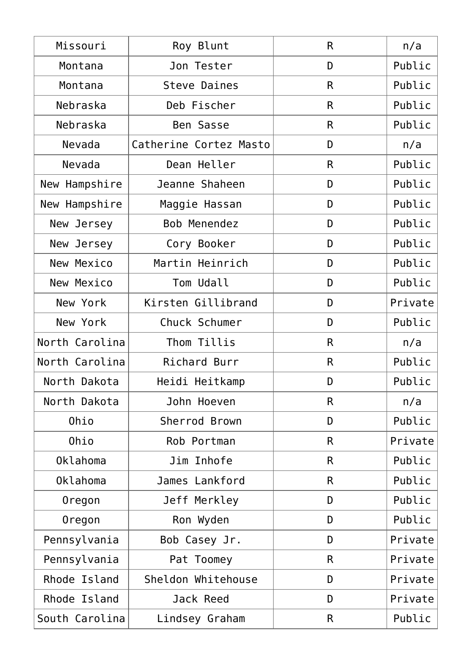| Missouri       | Roy Blunt              | R  | n/a     |
|----------------|------------------------|----|---------|
| Montana        | Jon Tester             | D  | Public  |
| Montana        | Steve Daines           | R  | Public  |
| Nebraska       | Deb Fischer            | R  | Public  |
| Nebraska       | Ben Sasse              | R  | Public  |
| Nevada         | Catherine Cortez Masto | D  | n/a     |
| Nevada         | Dean Heller            | R  | Public  |
| New Hampshire  | Jeanne Shaheen         | D  | Public  |
| New Hampshire  | Maggie Hassan          | D  | Public  |
| New Jersey     | Bob Menendez           | D  | Public  |
| New Jersey     | Cory Booker            | D  | Public  |
| New Mexico     | Martin Heinrich        | D  | Public  |
| New Mexico     | Tom Udall              | D  | Public  |
| New York       | Kirsten Gillibrand     | D  | Private |
| New York       | Chuck Schumer          | D  | Public  |
| North Carolina | Thom Tillis            | R  | n/a     |
| North Carolina | Richard Burr           | R  | Public  |
| North Dakota   | Heidi Heitkamp         | D  | Public  |
| North Dakota   | John Hoeven            | R  | n/a     |
| Ohio           | Sherrod Brown          | D  | Public  |
| Ohio           | Rob Portman            | R. | Private |
| Oklahoma       | Jim Inhofe             | R. | Public  |
| Oklahoma       | James Lankford         | R  | Public  |
| Oregon         | Jeff Merkley           | D  | Public  |
| Oregon         | Ron Wyden              | D  | Public  |
| Pennsylvania   | Bob Casey Jr.          | D  | Private |
| Pennsylvania   | Pat Toomey             | R  | Private |
| Rhode Island   | Sheldon Whitehouse     | D  | Private |
| Rhode Island   | Jack Reed              | D  | Private |
| South Carolina | Lindsey Graham         | R  | Public  |